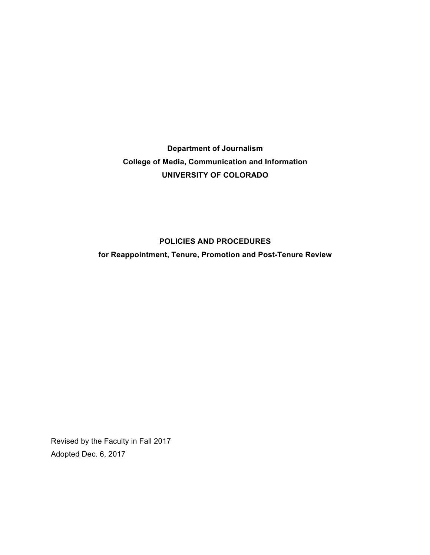**Department of Journalism College of Media, Communication and Information UNIVERSITY OF COLORADO**

# **POLICIES AND PROCEDURES**

**for Reappointment, Tenure, Promotion and Post-Tenure Review**

Revised by the Faculty in Fall 2017 Adopted Dec. 6, 2017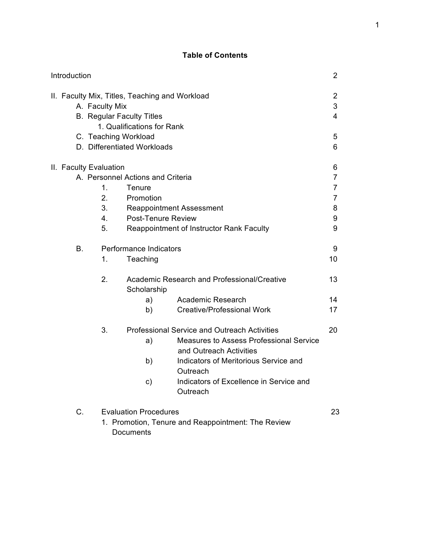## **Table of Contents**

| Introduction |                                                                                                                                                                                           |                                                      |                                                                                                                          |                                                                                                                                                                                                                                       | $\overline{2}$                                                         |
|--------------|-------------------------------------------------------------------------------------------------------------------------------------------------------------------------------------------|------------------------------------------------------|--------------------------------------------------------------------------------------------------------------------------|---------------------------------------------------------------------------------------------------------------------------------------------------------------------------------------------------------------------------------------|------------------------------------------------------------------------|
|              | II. Faculty Mix, Titles, Teaching and Workload<br>A. Faculty Mix<br><b>B.</b> Regular Faculty Titles<br>1. Qualifications for Rank<br>C. Teaching Workload<br>D. Differentiated Workloads |                                                      |                                                                                                                          |                                                                                                                                                                                                                                       | 2<br>3<br>4<br>5<br>6                                                  |
|              |                                                                                                                                                                                           | II. Faculty Evaluation<br>1.<br>2.<br>3.<br>4.<br>5. | A. Personnel Actions and Criteria<br>Tenure<br>Promotion<br><b>Reappointment Assessment</b><br><b>Post-Tenure Review</b> | Reappointment of Instructor Rank Faculty                                                                                                                                                                                              | 6<br>$\overline{7}$<br>$\overline{7}$<br>$\overline{7}$<br>8<br>9<br>9 |
|              | В.                                                                                                                                                                                        | 1.<br>2.                                             | Performance Indicators<br>Teaching<br>Scholarship<br>a)<br>b)                                                            | Academic Research and Professional/Creative<br>Academic Research<br><b>Creative/Professional Work</b>                                                                                                                                 | 9<br>10<br>13<br>14<br>17                                              |
|              |                                                                                                                                                                                           | 3.                                                   | a)<br>b)<br>c)                                                                                                           | <b>Professional Service and Outreach Activities</b><br>Measures to Assess Professional Service<br>and Outreach Activities<br>Indicators of Meritorious Service and<br>Outreach<br>Indicators of Excellence in Service and<br>Outreach | 20                                                                     |
|              | C.<br><b>Evaluation Procedures</b><br>1. Promotion, Tenure and Reappointment: The Review<br>Documents                                                                                     |                                                      |                                                                                                                          | 23                                                                                                                                                                                                                                    |                                                                        |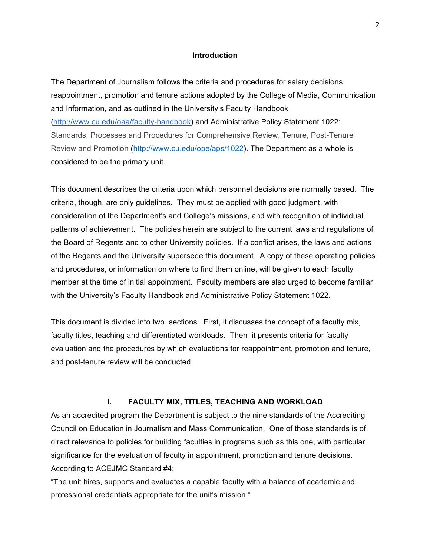#### **Introduction**

The Department of Journalism follows the criteria and procedures for salary decisions, reappointment, promotion and tenure actions adopted by the College of Media, Communication and Information, and as outlined in the University's Faculty Handbook (http://www.cu.edu/oaa/faculty-handbook) and Administrative Policy Statement 1022: Standards, Processes and Procedures for Comprehensive Review, Tenure, Post-Tenure Review and Promotion (http://www.cu.edu/ope/aps/1022). The Department as a whole is considered to be the primary unit.

This document describes the criteria upon which personnel decisions are normally based. The criteria, though, are only guidelines. They must be applied with good judgment, with consideration of the Department's and College's missions, and with recognition of individual patterns of achievement. The policies herein are subject to the current laws and regulations of the Board of Regents and to other University policies. If a conflict arises, the laws and actions of the Regents and the University supersede this document. A copy of these operating policies and procedures, or information on where to find them online, will be given to each faculty member at the time of initial appointment. Faculty members are also urged to become familiar with the University's Faculty Handbook and Administrative Policy Statement 1022.

This document is divided into two sections. First, it discusses the concept of a faculty mix, faculty titles, teaching and differentiated workloads. Then it presents criteria for faculty evaluation and the procedures by which evaluations for reappointment, promotion and tenure, and post-tenure review will be conducted.

#### **I. FACULTY MIX, TITLES, TEACHING AND WORKLOAD**

As an accredited program the Department is subject to the nine standards of the Accrediting Council on Education in Journalism and Mass Communication. One of those standards is of direct relevance to policies for building faculties in programs such as this one, with particular significance for the evaluation of faculty in appointment, promotion and tenure decisions. According to ACEJMC Standard #4:

"The unit hires, supports and evaluates a capable faculty with a balance of academic and professional credentials appropriate for the unit's mission."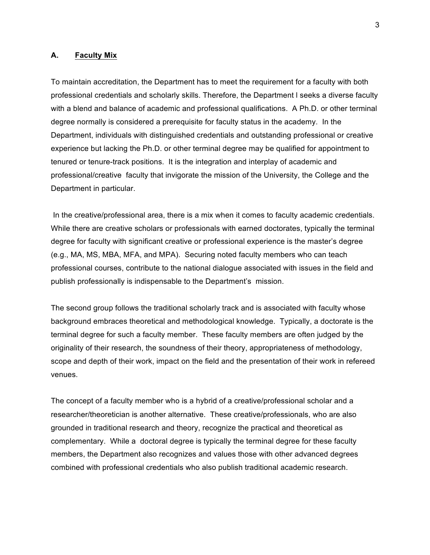#### **A. Faculty Mix**

To maintain accreditation, the Department has to meet the requirement for a faculty with both professional credentials and scholarly skills. Therefore, the Department l seeks a diverse faculty with a blend and balance of academic and professional qualifications. A Ph.D. or other terminal degree normally is considered a prerequisite for faculty status in the academy. In the Department, individuals with distinguished credentials and outstanding professional or creative experience but lacking the Ph.D. or other terminal degree may be qualified for appointment to tenured or tenure-track positions. It is the integration and interplay of academic and professional/creative faculty that invigorate the mission of the University, the College and the Department in particular.

In the creative/professional area, there is a mix when it comes to faculty academic credentials. While there are creative scholars or professionals with earned doctorates, typically the terminal degree for faculty with significant creative or professional experience is the master's degree (e.g., MA, MS, MBA, MFA, and MPA). Securing noted faculty members who can teach professional courses, contribute to the national dialogue associated with issues in the field and publish professionally is indispensable to the Department's mission.

The second group follows the traditional scholarly track and is associated with faculty whose background embraces theoretical and methodological knowledge. Typically, a doctorate is the terminal degree for such a faculty member. These faculty members are often judged by the originality of their research, the soundness of their theory, appropriateness of methodology, scope and depth of their work, impact on the field and the presentation of their work in refereed venues.

The concept of a faculty member who is a hybrid of a creative/professional scholar and a researcher/theoretician is another alternative. These creative/professionals, who are also grounded in traditional research and theory, recognize the practical and theoretical as complementary. While a doctoral degree is typically the terminal degree for these faculty members, the Department also recognizes and values those with other advanced degrees combined with professional credentials who also publish traditional academic research.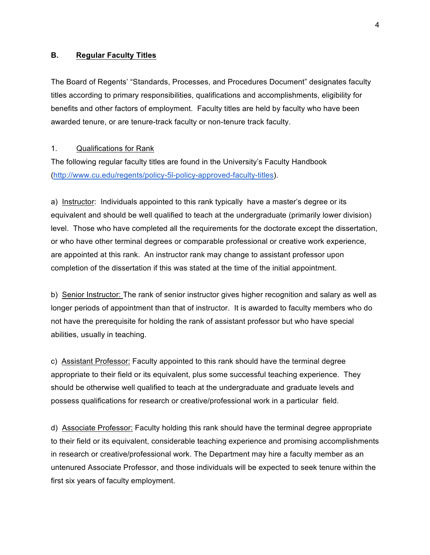#### **B. Regular Faculty Titles**

The Board of Regents' "Standards, Processes, and Procedures Document" designates faculty titles according to primary responsibilities, qualifications and accomplishments, eligibility for benefits and other factors of employment. Faculty titles are held by faculty who have been awarded tenure, or are tenure-track faculty or non-tenure track faculty.

### 1. Qualifications for Rank

The following regular faculty titles are found in the University's Faculty Handbook (http://www.cu.edu/regents/policy-5l-policy-approved-faculty-titles).

a) Instructor: Individuals appointed to this rank typically have a master's degree or its equivalent and should be well qualified to teach at the undergraduate (primarily lower division) level. Those who have completed all the requirements for the doctorate except the dissertation, or who have other terminal degrees or comparable professional or creative work experience, are appointed at this rank. An instructor rank may change to assistant professor upon completion of the dissertation if this was stated at the time of the initial appointment.

b) Senior Instructor: The rank of senior instructor gives higher recognition and salary as well as longer periods of appointment than that of instructor. It is awarded to faculty members who do not have the prerequisite for holding the rank of assistant professor but who have special abilities, usually in teaching.

c) Assistant Professor: Faculty appointed to this rank should have the terminal degree appropriate to their field or its equivalent, plus some successful teaching experience. They should be otherwise well qualified to teach at the undergraduate and graduate levels and possess qualifications for research or creative/professional work in a particular field.

d) Associate Professor: Faculty holding this rank should have the terminal degree appropriate to their field or its equivalent, considerable teaching experience and promising accomplishments in research or creative/professional work. The Department may hire a faculty member as an untenured Associate Professor, and those individuals will be expected to seek tenure within the first six years of faculty employment.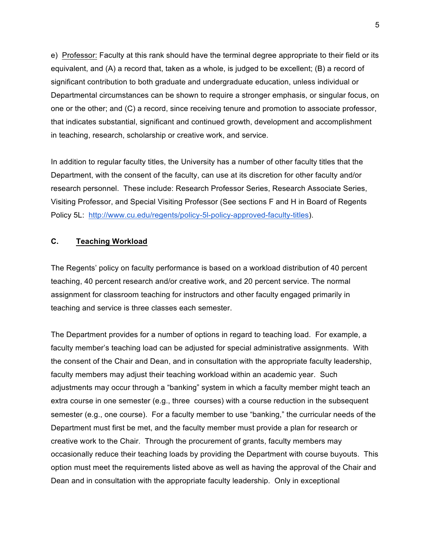e) Professor: Faculty at this rank should have the terminal degree appropriate to their field or its equivalent, and (A) a record that, taken as a whole, is judged to be excellent; (B) a record of significant contribution to both graduate and undergraduate education, unless individual or Departmental circumstances can be shown to require a stronger emphasis, or singular focus, on one or the other; and (C) a record, since receiving tenure and promotion to associate professor, that indicates substantial, significant and continued growth, development and accomplishment in teaching, research, scholarship or creative work, and service.

In addition to regular faculty titles, the University has a number of other faculty titles that the Department, with the consent of the faculty, can use at its discretion for other faculty and/or research personnel. These include: Research Professor Series, Research Associate Series, Visiting Professor, and Special Visiting Professor (See sections F and H in Board of Regents Policy 5L: http://www.cu.edu/regents/policy-5l-policy-approved-faculty-titles).

### **C. Teaching Workload**

The Regents' policy on faculty performance is based on a workload distribution of 40 percent teaching, 40 percent research and/or creative work, and 20 percent service. The normal assignment for classroom teaching for instructors and other faculty engaged primarily in teaching and service is three classes each semester.

The Department provides for a number of options in regard to teaching load. For example, a faculty member's teaching load can be adjusted for special administrative assignments. With the consent of the Chair and Dean, and in consultation with the appropriate faculty leadership, faculty members may adjust their teaching workload within an academic year. Such adjustments may occur through a "banking" system in which a faculty member might teach an extra course in one semester (e.g., three courses) with a course reduction in the subsequent semester (e.g., one course). For a faculty member to use "banking," the curricular needs of the Department must first be met, and the faculty member must provide a plan for research or creative work to the Chair. Through the procurement of grants, faculty members may occasionally reduce their teaching loads by providing the Department with course buyouts. This option must meet the requirements listed above as well as having the approval of the Chair and Dean and in consultation with the appropriate faculty leadership. Only in exceptional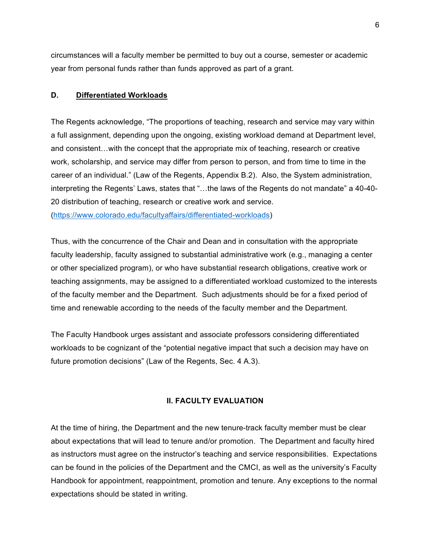circumstances will a faculty member be permitted to buy out a course, semester or academic year from personal funds rather than funds approved as part of a grant.

### **D. Differentiated Workloads**

The Regents acknowledge, "The proportions of teaching, research and service may vary within a full assignment, depending upon the ongoing, existing workload demand at Department level, and consistent…with the concept that the appropriate mix of teaching, research or creative work, scholarship, and service may differ from person to person, and from time to time in the career of an individual." (Law of the Regents, Appendix B.2). Also, the System administration, interpreting the Regents' Laws, states that "…the laws of the Regents do not mandate" a 40-40- 20 distribution of teaching, research or creative work and service. (https://www.colorado.edu/facultyaffairs/differentiated-workloads)

Thus, with the concurrence of the Chair and Dean and in consultation with the appropriate faculty leadership, faculty assigned to substantial administrative work (e.g., managing a center or other specialized program), or who have substantial research obligations, creative work or teaching assignments, may be assigned to a differentiated workload customized to the interests of the faculty member and the Department. Such adjustments should be for a fixed period of time and renewable according to the needs of the faculty member and the Department.

The Faculty Handbook urges assistant and associate professors considering differentiated workloads to be cognizant of the "potential negative impact that such a decision may have on future promotion decisions" (Law of the Regents, Sec. 4 A.3).

### **II. FACULTY EVALUATION**

At the time of hiring, the Department and the new tenure-track faculty member must be clear about expectations that will lead to tenure and/or promotion. The Department and faculty hired as instructors must agree on the instructor's teaching and service responsibilities. Expectations can be found in the policies of the Department and the CMCI, as well as the university's Faculty Handbook for appointment, reappointment, promotion and tenure. Any exceptions to the normal expectations should be stated in writing.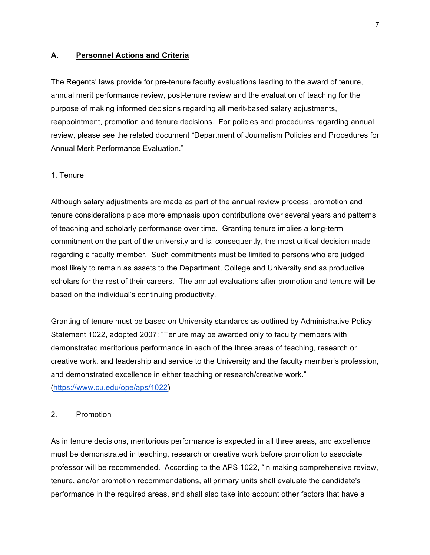#### **A. Personnel Actions and Criteria**

The Regents' laws provide for pre-tenure faculty evaluations leading to the award of tenure, annual merit performance review, post-tenure review and the evaluation of teaching for the purpose of making informed decisions regarding all merit-based salary adjustments, reappointment, promotion and tenure decisions. For policies and procedures regarding annual review, please see the related document "Department of Journalism Policies and Procedures for Annual Merit Performance Evaluation."

#### 1. Tenure

Although salary adjustments are made as part of the annual review process, promotion and tenure considerations place more emphasis upon contributions over several years and patterns of teaching and scholarly performance over time. Granting tenure implies a long-term commitment on the part of the university and is, consequently, the most critical decision made regarding a faculty member. Such commitments must be limited to persons who are judged most likely to remain as assets to the Department, College and University and as productive scholars for the rest of their careers. The annual evaluations after promotion and tenure will be based on the individual's continuing productivity.

Granting of tenure must be based on University standards as outlined by Administrative Policy Statement 1022, adopted 2007: "Tenure may be awarded only to faculty members with demonstrated meritorious performance in each of the three areas of teaching, research or creative work, and leadership and service to the University and the faculty member's profession, and demonstrated excellence in either teaching or research/creative work." (https://www.cu.edu/ope/aps/1022)

#### 2. Promotion

As in tenure decisions, meritorious performance is expected in all three areas, and excellence must be demonstrated in teaching, research or creative work before promotion to associate professor will be recommended. According to the APS 1022, "in making comprehensive review, tenure, and/or promotion recommendations, all primary units shall evaluate the candidate's performance in the required areas, and shall also take into account other factors that have a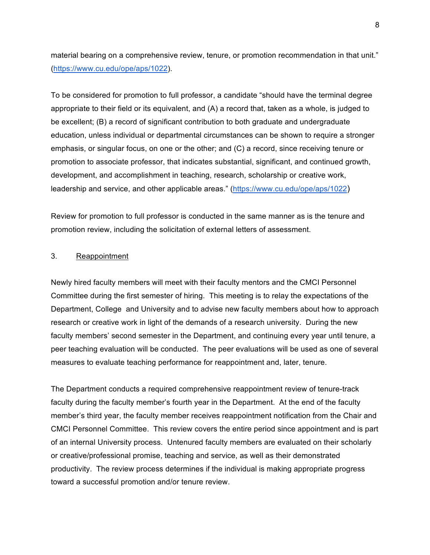material bearing on a comprehensive review, tenure, or promotion recommendation in that unit." (https://www.cu.edu/ope/aps/1022).

To be considered for promotion to full professor, a candidate "should have the terminal degree appropriate to their field or its equivalent, and (A) a record that, taken as a whole, is judged to be excellent; (B) a record of significant contribution to both graduate and undergraduate education, unless individual or departmental circumstances can be shown to require a stronger emphasis, or singular focus, on one or the other; and (C) a record, since receiving tenure or promotion to associate professor, that indicates substantial, significant, and continued growth, development, and accomplishment in teaching, research, scholarship or creative work, leadership and service, and other applicable areas." (https://www.cu.edu/ope/aps/1022)

Review for promotion to full professor is conducted in the same manner as is the tenure and promotion review, including the solicitation of external letters of assessment.

### 3. Reappointment

Newly hired faculty members will meet with their faculty mentors and the CMCI Personnel Committee during the first semester of hiring. This meeting is to relay the expectations of the Department, College and University and to advise new faculty members about how to approach research or creative work in light of the demands of a research university. During the new faculty members' second semester in the Department, and continuing every year until tenure, a peer teaching evaluation will be conducted. The peer evaluations will be used as one of several measures to evaluate teaching performance for reappointment and, later, tenure.

The Department conducts a required comprehensive reappointment review of tenure-track faculty during the faculty member's fourth year in the Department. At the end of the faculty member's third year, the faculty member receives reappointment notification from the Chair and CMCI Personnel Committee. This review covers the entire period since appointment and is part of an internal University process. Untenured faculty members are evaluated on their scholarly or creative/professional promise, teaching and service, as well as their demonstrated productivity. The review process determines if the individual is making appropriate progress toward a successful promotion and/or tenure review.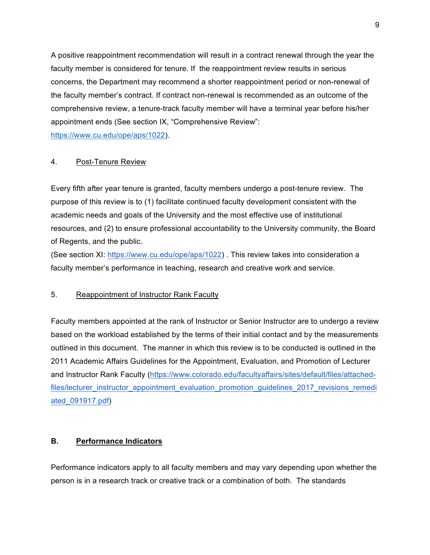A positive reappointment recommendation will result in a contract renewal through the year the faculty member is considered for tenure. If the reappointment review results in serious concerns, the Department may recommend a shorter reappointment period or non-renewal of the faculty member's contract. If contract non-renewal is recommended as an outcome of the comprehensive review, a tenure-track faculty member will have a terminal year before his/her appointment ends (See section IX, "Comprehensive Review":

https://www.cu.edu/ope/aps/1022).

### 4. Post-Tenure Review

Every fifth after year tenure is granted, faculty members undergo a post-tenure review. The purpose of this review is to (1) facilitate continued faculty development consistent with the academic needs and goals of the University and the most effective use of institutional resources, and (2) to ensure professional accountability to the University community, the Board of Regents, and the public.

(See section XI: https://www.cu.edu/ope/aps/1022) . This review takes into consideration a faculty member's performance in teaching, research and creative work and service.

### 5. Reappointment of Instructor Rank Faculty

Faculty members appointed at the rank of Instructor or Senior Instructor are to undergo a review based on the workload established by the terms of their initial contact and by the measurements outlined in this document. The manner in which this review is to be conducted is outlined in the 2011 Academic Affairs Guidelines for the Appointment, Evaluation, and Promotion of Lecturer and Instructor Rank Faculty (https://www.colorado.edu/facultyaffairs/sites/default/files/attachedfiles/lecturer\_instructor\_appointment\_evaluation\_promotion\_guidelines\_2017\_revisions\_remedi ated\_091917.pdf)

### **B. Performance Indicators**

Performance indicators apply to all faculty members and may vary depending upon whether the person is in a research track or creative track or a combination of both. The standards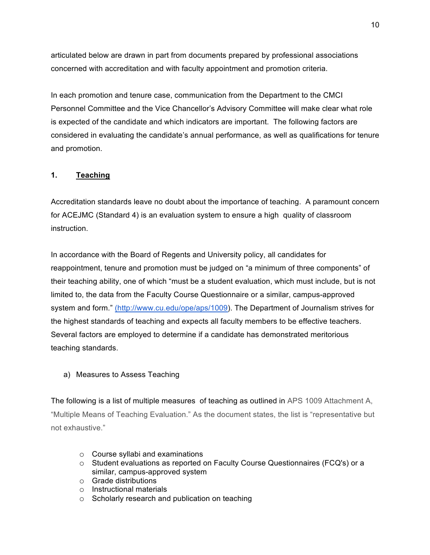articulated below are drawn in part from documents prepared by professional associations concerned with accreditation and with faculty appointment and promotion criteria.

In each promotion and tenure case, communication from the Department to the CMCI Personnel Committee and the Vice Chancellor's Advisory Committee will make clear what role is expected of the candidate and which indicators are important. The following factors are considered in evaluating the candidate's annual performance, as well as qualifications for tenure and promotion.

# **1. Teaching**

Accreditation standards leave no doubt about the importance of teaching. A paramount concern for ACEJMC (Standard 4) is an evaluation system to ensure a high quality of classroom instruction.

In accordance with the Board of Regents and University policy, all candidates for reappointment, tenure and promotion must be judged on "a minimum of three components" of their teaching ability, one of which "must be a student evaluation, which must include, but is not limited to, the data from the Faculty Course Questionnaire or a similar, campus-approved system and form." (http://www.cu.edu/ope/aps/1009). The Department of Journalism strives for the highest standards of teaching and expects all faculty members to be effective teachers. Several factors are employed to determine if a candidate has demonstrated meritorious teaching standards.

# a) Measures to Assess Teaching

The following is a list of multiple measures of teaching as outlined in APS 1009 Attachment A, "Multiple Means of Teaching Evaluation." As the document states, the list is "representative but not exhaustive."

- o Course syllabi and examinations
- o Student evaluations as reported on Faculty Course Questionnaires (FCQ's) or a similar, campus-approved system
- o Grade distributions
- o Instructional materials
- o Scholarly research and publication on teaching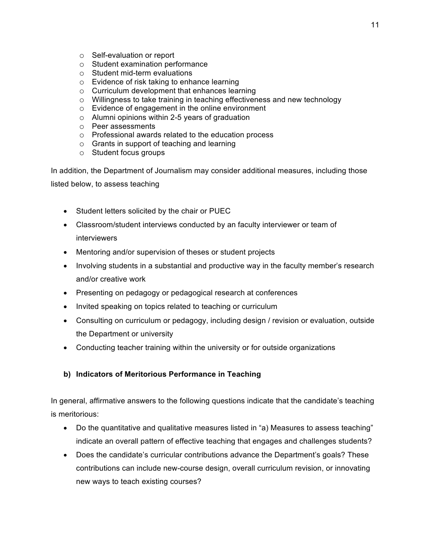- o Self-evaluation or report
- o Student examination performance
- o Student mid-term evaluations
- o Evidence of risk taking to enhance learning
- o Curriculum development that enhances learning
- o Willingness to take training in teaching effectiveness and new technology
- o Evidence of engagement in the online environment
- o Alumni opinions within 2-5 years of graduation
- o Peer assessments
- o Professional awards related to the education process
- o Grants in support of teaching and learning
- o Student focus groups

In addition, the Department of Journalism may consider additional measures, including those listed below, to assess teaching

- Student letters solicited by the chair or PUEC
- Classroom/student interviews conducted by an faculty interviewer or team of interviewers
- Mentoring and/or supervision of theses or student projects
- Involving students in a substantial and productive way in the faculty member's research and/or creative work
- Presenting on pedagogy or pedagogical research at conferences
- Invited speaking on topics related to teaching or curriculum
- Consulting on curriculum or pedagogy, including design / revision or evaluation, outside the Department or university
- Conducting teacher training within the university or for outside organizations

# **b) Indicators of Meritorious Performance in Teaching**

In general, affirmative answers to the following questions indicate that the candidate's teaching is meritorious:

- Do the quantitative and qualitative measures listed in "a) Measures to assess teaching" indicate an overall pattern of effective teaching that engages and challenges students?
- Does the candidate's curricular contributions advance the Department's goals? These contributions can include new-course design, overall curriculum revision, or innovating new ways to teach existing courses?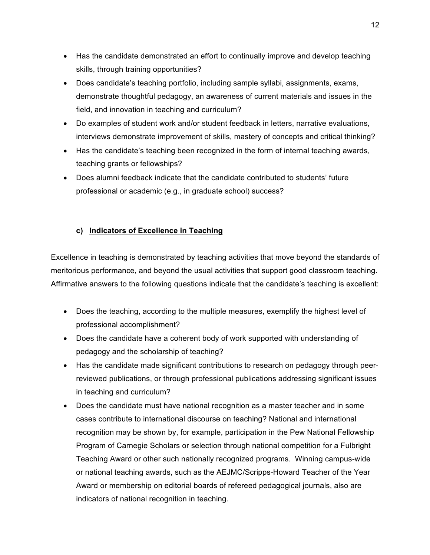- Has the candidate demonstrated an effort to continually improve and develop teaching skills, through training opportunities?
- Does candidate's teaching portfolio, including sample syllabi, assignments, exams, demonstrate thoughtful pedagogy, an awareness of current materials and issues in the field, and innovation in teaching and curriculum?
- Do examples of student work and/or student feedback in letters, narrative evaluations, interviews demonstrate improvement of skills, mastery of concepts and critical thinking?
- Has the candidate's teaching been recognized in the form of internal teaching awards, teaching grants or fellowships?
- Does alumni feedback indicate that the candidate contributed to students' future professional or academic (e.g., in graduate school) success?

# **c) Indicators of Excellence in Teaching**

Excellence in teaching is demonstrated by teaching activities that move beyond the standards of meritorious performance, and beyond the usual activities that support good classroom teaching. Affirmative answers to the following questions indicate that the candidate's teaching is excellent:

- Does the teaching, according to the multiple measures, exemplify the highest level of professional accomplishment?
- Does the candidate have a coherent body of work supported with understanding of pedagogy and the scholarship of teaching?
- Has the candidate made significant contributions to research on pedagogy through peerreviewed publications, or through professional publications addressing significant issues in teaching and curriculum?
- Does the candidate must have national recognition as a master teacher and in some cases contribute to international discourse on teaching? National and international recognition may be shown by, for example, participation in the Pew National Fellowship Program of Carnegie Scholars or selection through national competition for a Fulbright Teaching Award or other such nationally recognized programs. Winning campus-wide or national teaching awards, such as the AEJMC/Scripps-Howard Teacher of the Year Award or membership on editorial boards of refereed pedagogical journals, also are indicators of national recognition in teaching.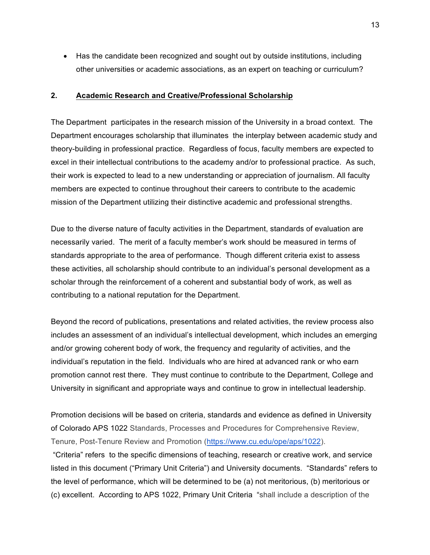• Has the candidate been recognized and sought out by outside institutions, including other universities or academic associations, as an expert on teaching or curriculum?

#### **2. Academic Research and Creative/Professional Scholarship**

The Department participates in the research mission of the University in a broad context. The Department encourages scholarship that illuminates the interplay between academic study and theory-building in professional practice. Regardless of focus, faculty members are expected to excel in their intellectual contributions to the academy and/or to professional practice. As such, their work is expected to lead to a new understanding or appreciation of journalism. All faculty members are expected to continue throughout their careers to contribute to the academic mission of the Department utilizing their distinctive academic and professional strengths.

Due to the diverse nature of faculty activities in the Department, standards of evaluation are necessarily varied. The merit of a faculty member's work should be measured in terms of standards appropriate to the area of performance. Though different criteria exist to assess these activities, all scholarship should contribute to an individual's personal development as a scholar through the reinforcement of a coherent and substantial body of work, as well as contributing to a national reputation for the Department.

Beyond the record of publications, presentations and related activities, the review process also includes an assessment of an individual's intellectual development, which includes an emerging and/or growing coherent body of work, the frequency and regularity of activities, and the individual's reputation in the field. Individuals who are hired at advanced rank or who earn promotion cannot rest there. They must continue to contribute to the Department, College and University in significant and appropriate ways and continue to grow in intellectual leadership.

Promotion decisions will be based on criteria, standards and evidence as defined in University of Colorado APS 1022 Standards, Processes and Procedures for Comprehensive Review, Tenure, Post-Tenure Review and Promotion (https://www.cu.edu/ope/aps/1022).

"Criteria" refers to the specific dimensions of teaching, research or creative work, and service listed in this document ("Primary Unit Criteria") and University documents. "Standards" refers to the level of performance, which will be determined to be (a) not meritorious, (b) meritorious or (c) excellent. According to APS 1022, Primary Unit Criteria "shall include a description of the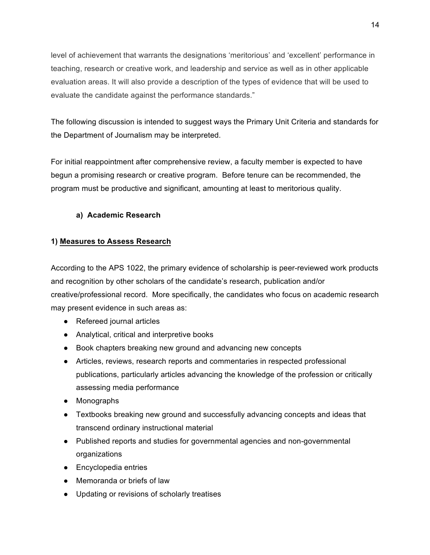level of achievement that warrants the designations 'meritorious' and 'excellent' performance in teaching, research or creative work, and leadership and service as well as in other applicable evaluation areas. It will also provide a description of the types of evidence that will be used to evaluate the candidate against the performance standards."

The following discussion is intended to suggest ways the Primary Unit Criteria and standards for the Department of Journalism may be interpreted.

For initial reappointment after comprehensive review, a faculty member is expected to have begun a promising research or creative program. Before tenure can be recommended, the program must be productive and significant, amounting at least to meritorious quality.

# **a) Academic Research**

## **1) Measures to Assess Research**

According to the APS 1022, the primary evidence of scholarship is peer-reviewed work products and recognition by other scholars of the candidate's research, publication and/or creative/professional record. More specifically, the candidates who focus on academic research may present evidence in such areas as:

- Refereed journal articles
- Analytical, critical and interpretive books
- Book chapters breaking new ground and advancing new concepts
- Articles, reviews, research reports and commentaries in respected professional publications, particularly articles advancing the knowledge of the profession or critically assessing media performance
- Monographs
- Textbooks breaking new ground and successfully advancing concepts and ideas that transcend ordinary instructional material
- Published reports and studies for governmental agencies and non-governmental organizations
- Encyclopedia entries
- Memoranda or briefs of law
- Updating or revisions of scholarly treatises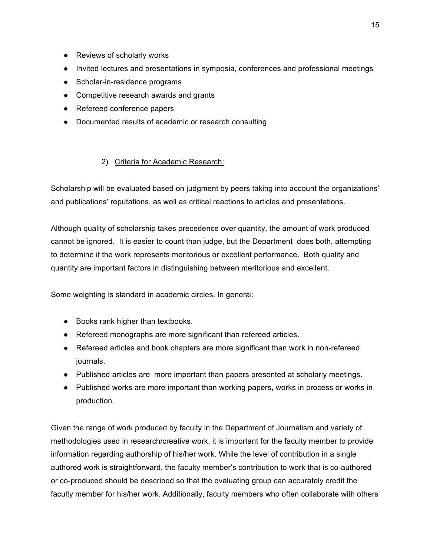- Reviews of scholarly works
- Invited lectures and presentations in symposia, conferences and professional meetings
- Scholar-in-residence programs
- Competitive research awards and grants
- Refereed conference papers
- Documented results of academic or research consulting

# 2) Criteria for Academic Research:

Scholarship will be evaluated based on judgment by peers taking into account the organizations' and publications' reputations, as well as critical reactions to articles and presentations.

Although quality of scholarship takes precedence over quantity, the amount of work produced cannot be ignored. It is easier to count than judge, but the Department does both, attempting to determine if the work represents meritorious or excellent performance. Both quality and quantity are important factors in distinguishing between meritorious and excellent.

Some weighting is standard in academic circles. In general:

- Books rank higher than textbooks.
- Refereed monographs are more significant than refereed articles.
- Refereed articles and book chapters are more significant than work in non-refereed journals.
- Published articles are more important than papers presented at scholarly meetings.
- Published works are more important than working papers, works in process or works in production.

Given the range of work produced by faculty in the Department of Journalism and variety of methodologies used in research/creative work, it is important for the faculty member to provide information regarding authorship of his/her work. While the level of contribution in a single authored work is straightforward, the faculty member's contribution to work that is co-authored or co-produced should be described so that the evaluating group can accurately credit the faculty member for his/her work. Additionally, faculty members who often collaborate with others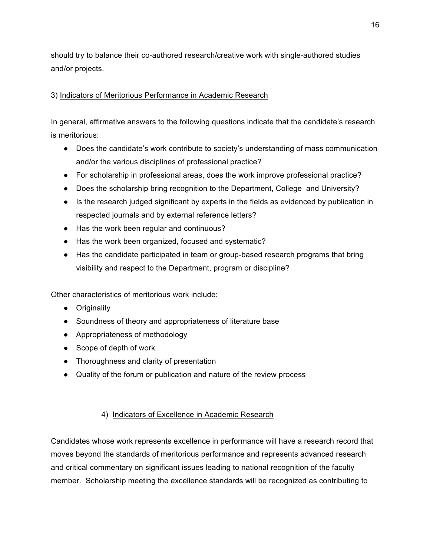should try to balance their co-authored research/creative work with single-authored studies and/or projects.

# 3) Indicators of Meritorious Performance in Academic Research

In general, affirmative answers to the following questions indicate that the candidate's research is meritorious:

- Does the candidate's work contribute to society's understanding of mass communication and/or the various disciplines of professional practice?
- For scholarship in professional areas, does the work improve professional practice?
- Does the scholarship bring recognition to the Department, College and University?
- Is the research judged significant by experts in the fields as evidenced by publication in respected journals and by external reference letters?
- Has the work been regular and continuous?
- Has the work been organized, focused and systematic?
- Has the candidate participated in team or group-based research programs that bring visibility and respect to the Department, program or discipline?

Other characteristics of meritorious work include:

- Originality
- Soundness of theory and appropriateness of literature base
- Appropriateness of methodology
- Scope of depth of work
- Thoroughness and clarity of presentation
- Quality of the forum or publication and nature of the review process

# 4) Indicators of Excellence in Academic Research

Candidates whose work represents excellence in performance will have a research record that moves beyond the standards of meritorious performance and represents advanced research and critical commentary on significant issues leading to national recognition of the faculty member. Scholarship meeting the excellence standards will be recognized as contributing to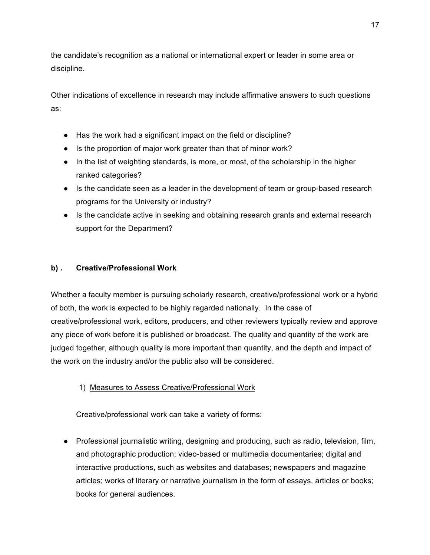the candidate's recognition as a national or international expert or leader in some area or discipline.

Other indications of excellence in research may include affirmative answers to such questions as:

- Has the work had a significant impact on the field or discipline?
- Is the proportion of major work greater than that of minor work?
- In the list of weighting standards, is more, or most, of the scholarship in the higher ranked categories?
- Is the candidate seen as a leader in the development of team or group-based research programs for the University or industry?
- Is the candidate active in seeking and obtaining research grants and external research support for the Department?

# **b) . Creative/Professional Work**

Whether a faculty member is pursuing scholarly research, creative/professional work or a hybrid of both, the work is expected to be highly regarded nationally. In the case of creative/professional work, editors, producers, and other reviewers typically review and approve any piece of work before it is published or broadcast. The quality and quantity of the work are judged together, although quality is more important than quantity, and the depth and impact of the work on the industry and/or the public also will be considered.

# 1) Measures to Assess Creative/Professional Work

Creative/professional work can take a variety of forms:

● Professional journalistic writing, designing and producing, such as radio, television, film, and photographic production; video-based or multimedia documentaries; digital and interactive productions, such as websites and databases; newspapers and magazine articles; works of literary or narrative journalism in the form of essays, articles or books; books for general audiences.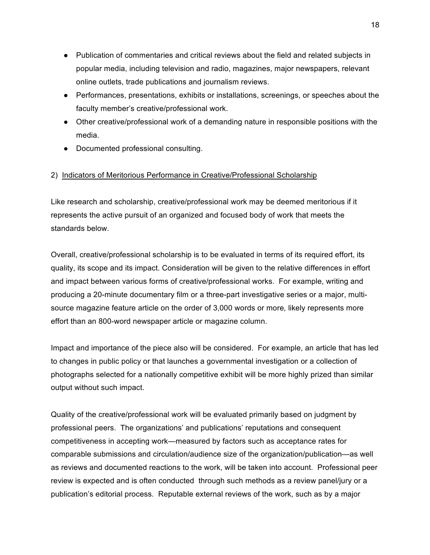- Publication of commentaries and critical reviews about the field and related subjects in popular media, including television and radio, magazines, major newspapers, relevant online outlets, trade publications and journalism reviews.
- Performances, presentations, exhibits or installations, screenings, or speeches about the faculty member's creative/professional work.
- Other creative/professional work of a demanding nature in responsible positions with the media.
- Documented professional consulting.

### 2) Indicators of Meritorious Performance in Creative/Professional Scholarship

Like research and scholarship, creative/professional work may be deemed meritorious if it represents the active pursuit of an organized and focused body of work that meets the standards below.

Overall, creative/professional scholarship is to be evaluated in terms of its required effort, its quality, its scope and its impact. Consideration will be given to the relative differences in effort and impact between various forms of creative/professional works. For example, writing and producing a 20-minute documentary film or a three-part investigative series or a major, multisource magazine feature article on the order of 3,000 words or more*,* likely represents more effort than an 800-word newspaper article or magazine column.

Impact and importance of the piece also will be considered. For example, an article that has led to changes in public policy or that launches a governmental investigation or a collection of photographs selected for a nationally competitive exhibit will be more highly prized than similar output without such impact.

Quality of the creative/professional work will be evaluated primarily based on judgment by professional peers. The organizations' and publications' reputations and consequent competitiveness in accepting work—measured by factors such as acceptance rates for comparable submissions and circulation/audience size of the organization/publication—as well as reviews and documented reactions to the work, will be taken into account. Professional peer review is expected and is often conducted through such methods as a review panel/jury or a publication's editorial process. Reputable external reviews of the work, such as by a major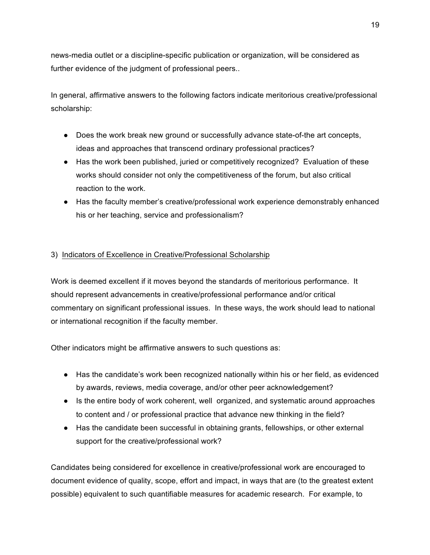news-media outlet or a discipline-specific publication or organization, will be considered as further evidence of the judgment of professional peers..

In general, affirmative answers to the following factors indicate meritorious creative/professional scholarship:

- Does the work break new ground or successfully advance state-of-the art concepts, ideas and approaches that transcend ordinary professional practices?
- Has the work been published, juried or competitively recognized? Evaluation of these works should consider not only the competitiveness of the forum, but also critical reaction to the work.
- Has the faculty member's creative/professional work experience demonstrably enhanced his or her teaching, service and professionalism?

## 3) Indicators of Excellence in Creative/Professional Scholarship

Work is deemed excellent if it moves beyond the standards of meritorious performance. It should represent advancements in creative/professional performance and/or critical commentary on significant professional issues. In these ways, the work should lead to national or international recognition if the faculty member.

Other indicators might be affirmative answers to such questions as:

- Has the candidate's work been recognized nationally within his or her field, as evidenced by awards, reviews, media coverage, and/or other peer acknowledgement?
- Is the entire body of work coherent, well organized, and systematic around approaches to content and / or professional practice that advance new thinking in the field?
- Has the candidate been successful in obtaining grants, fellowships, or other external support for the creative/professional work?

Candidates being considered for excellence in creative/professional work are encouraged to document evidence of quality, scope, effort and impact, in ways that are (to the greatest extent possible) equivalent to such quantifiable measures for academic research. For example, to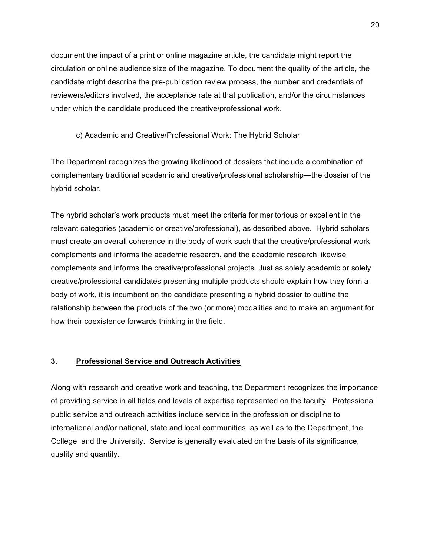document the impact of a print or online magazine article, the candidate might report the circulation or online audience size of the magazine. To document the quality of the article, the candidate might describe the pre-publication review process, the number and credentials of reviewers/editors involved, the acceptance rate at that publication, and/or the circumstances under which the candidate produced the creative/professional work.

c) Academic and Creative/Professional Work: The Hybrid Scholar

The Department recognizes the growing likelihood of dossiers that include a combination of complementary traditional academic and creative/professional scholarship—the dossier of the hybrid scholar.

The hybrid scholar's work products must meet the criteria for meritorious or excellent in the relevant categories (academic or creative/professional), as described above. Hybrid scholars must create an overall coherence in the body of work such that the creative/professional work complements and informs the academic research, and the academic research likewise complements and informs the creative/professional projects. Just as solely academic or solely creative/professional candidates presenting multiple products should explain how they form a body of work, it is incumbent on the candidate presenting a hybrid dossier to outline the relationship between the products of the two (or more) modalities and to make an argument for how their coexistence forwards thinking in the field.

#### **3. Professional Service and Outreach Activities**

Along with research and creative work and teaching, the Department recognizes the importance of providing service in all fields and levels of expertise represented on the faculty. Professional public service and outreach activities include service in the profession or discipline to international and/or national, state and local communities, as well as to the Department, the College and the University. Service is generally evaluated on the basis of its significance, quality and quantity.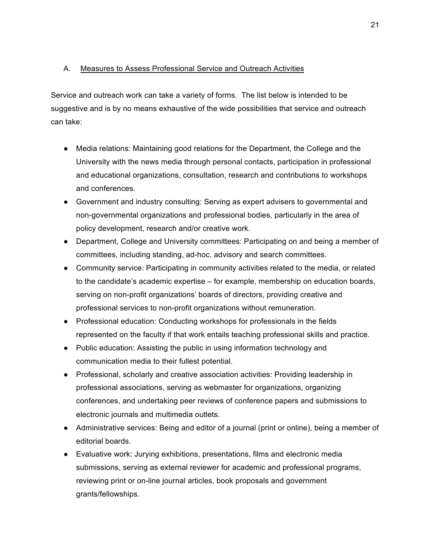## A. Measures to Assess Professional Service and Outreach Activities

Service and outreach work can take a variety of forms. The list below is intended to be suggestive and is by no means exhaustive of the wide possibilities that service and outreach can take:

- Media relations: Maintaining good relations for the Department, the College and the University with the news media through personal contacts, participation in professional and educational organizations, consultation, research and contributions to workshops and conferences.
- Government and industry consulting: Serving as expert advisers to governmental and non-governmental organizations and professional bodies, particularly in the area of policy development, research and/or creative work.
- Department, College and University committees: Participating on and being a member of committees, including standing, ad-hoc, advisory and search committees.
- Community service: Participating in community activities related to the media, or related to the candidate's academic expertise – for example, membership on education boards, serving on non-profit organizations' boards of directors, providing creative and professional services to non-profit organizations without remuneration.
- Professional education: Conducting workshops for professionals in the fields represented on the faculty if that work entails teaching professional skills and practice.
- Public education: Assisting the public in using information technology and communication media to their fullest potential.
- Professional, scholarly and creative association activities: Providing leadership in professional associations, serving as webmaster for organizations, organizing conferences, and undertaking peer reviews of conference papers and submissions to electronic journals and multimedia outlets.
- Administrative services: Being and editor of a journal (print or online), being a member of editorial boards.
- Evaluative work: Jurying exhibitions, presentations, films and electronic media submissions, serving as external reviewer for academic and professional programs, reviewing print or on-line journal articles, book proposals and government grants/fellowships.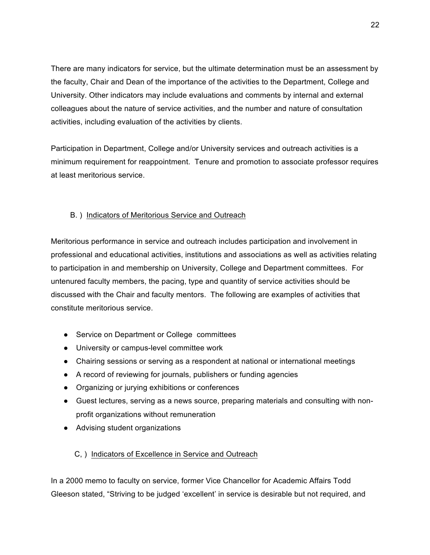There are many indicators for service, but the ultimate determination must be an assessment by the faculty, Chair and Dean of the importance of the activities to the Department, College and University. Other indicators may include evaluations and comments by internal and external colleagues about the nature of service activities, and the number and nature of consultation activities, including evaluation of the activities by clients.

Participation in Department, College and/or University services and outreach activities is a minimum requirement for reappointment. Tenure and promotion to associate professor requires at least meritorious service.

## B. ) Indicators of Meritorious Service and Outreach

Meritorious performance in service and outreach includes participation and involvement in professional and educational activities, institutions and associations as well as activities relating to participation in and membership on University, College and Department committees. For untenured faculty members, the pacing, type and quantity of service activities should be discussed with the Chair and faculty mentors. The following are examples of activities that constitute meritorious service.

- Service on Department or College committees
- University or campus-level committee work
- Chairing sessions or serving as a respondent at national or international meetings
- A record of reviewing for journals, publishers or funding agencies
- Organizing or jurying exhibitions or conferences
- Guest lectures, serving as a news source, preparing materials and consulting with nonprofit organizations without remuneration
- Advising student organizations

# C, ) Indicators of Excellence in Service and Outreach

In a 2000 memo to faculty on service, former Vice Chancellor for Academic Affairs Todd Gleeson stated, "Striving to be judged 'excellent' in service is desirable but not required, and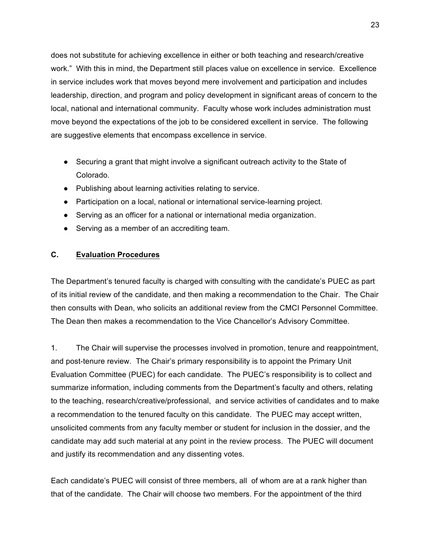does not substitute for achieving excellence in either or both teaching and research/creative work." With this in mind, the Department still places value on excellence in service. Excellence in service includes work that moves beyond mere involvement and participation and includes leadership, direction, and program and policy development in significant areas of concern to the local, national and international community. Faculty whose work includes administration must move beyond the expectations of the job to be considered excellent in service. The following are suggestive elements that encompass excellence in service.

- Securing a grant that might involve a significant outreach activity to the State of Colorado.
- Publishing about learning activities relating to service.
- Participation on a local, national or international service-learning project.
- Serving as an officer for a national or international media organization.
- Serving as a member of an accrediting team.

### **C. Evaluation Procedures**

The Department's tenured faculty is charged with consulting with the candidate's PUEC as part of its initial review of the candidate, and then making a recommendation to the Chair. The Chair then consults with Dean, who solicits an additional review from the CMCI Personnel Committee. The Dean then makes a recommendation to the Vice Chancellor's Advisory Committee.

1. The Chair will supervise the processes involved in promotion, tenure and reappointment, and post-tenure review. The Chair's primary responsibility is to appoint the Primary Unit Evaluation Committee (PUEC) for each candidate. The PUEC's responsibility is to collect and summarize information, including comments from the Department's faculty and others, relating to the teaching, research/creative/professional, and service activities of candidates and to make a recommendation to the tenured faculty on this candidate. The PUEC may accept written, unsolicited comments from any faculty member or student for inclusion in the dossier, and the candidate may add such material at any point in the review process. The PUEC will document and justify its recommendation and any dissenting votes.

Each candidate's PUEC will consist of three members, all of whom are at a rank higher than that of the candidate. The Chair will choose two members. For the appointment of the third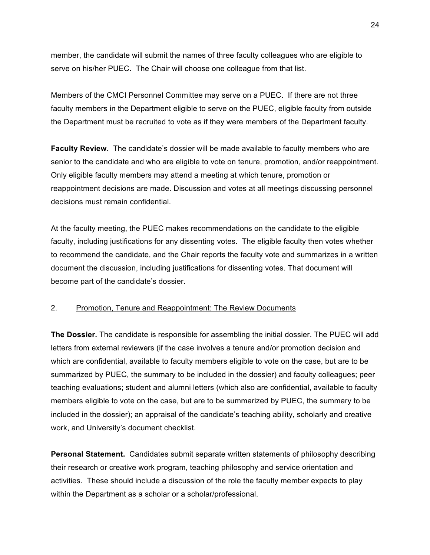member, the candidate will submit the names of three faculty colleagues who are eligible to serve on his/her PUEC. The Chair will choose one colleague from that list.

Members of the CMCI Personnel Committee may serve on a PUEC. If there are not three faculty members in the Department eligible to serve on the PUEC, eligible faculty from outside the Department must be recruited to vote as if they were members of the Department faculty.

**Faculty Review.** The candidate's dossier will be made available to faculty members who are senior to the candidate and who are eligible to vote on tenure, promotion, and/or reappointment. Only eligible faculty members may attend a meeting at which tenure, promotion or reappointment decisions are made. Discussion and votes at all meetings discussing personnel decisions must remain confidential.

At the faculty meeting, the PUEC makes recommendations on the candidate to the eligible faculty, including justifications for any dissenting votes. The eligible faculty then votes whether to recommend the candidate, and the Chair reports the faculty vote and summarizes in a written document the discussion, including justifications for dissenting votes. That document will become part of the candidate's dossier.

#### 2. Promotion, Tenure and Reappointment: The Review Documents

**The Dossier.** The candidate is responsible for assembling the initial dossier. The PUEC will add letters from external reviewers (if the case involves a tenure and/or promotion decision and which are confidential, available to faculty members eligible to vote on the case, but are to be summarized by PUEC, the summary to be included in the dossier) and faculty colleagues; peer teaching evaluations; student and alumni letters (which also are confidential, available to faculty members eligible to vote on the case, but are to be summarized by PUEC, the summary to be included in the dossier); an appraisal of the candidate's teaching ability, scholarly and creative work, and University's document checklist.

**Personal Statement.** Candidates submit separate written statements of philosophy describing their research or creative work program, teaching philosophy and service orientation and activities. These should include a discussion of the role the faculty member expects to play within the Department as a scholar or a scholar/professional.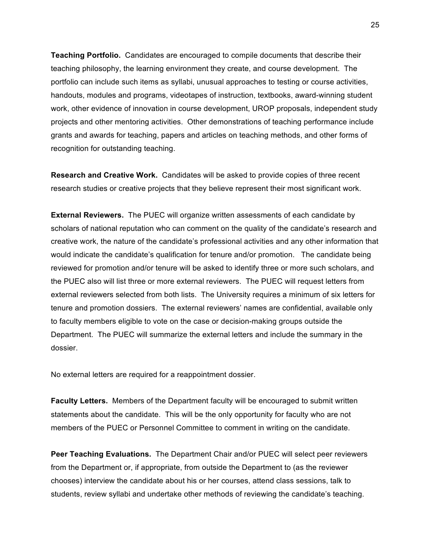**Teaching Portfolio.** Candidates are encouraged to compile documents that describe their teaching philosophy, the learning environment they create, and course development. The portfolio can include such items as syllabi, unusual approaches to testing or course activities, handouts, modules and programs, videotapes of instruction, textbooks, award-winning student work, other evidence of innovation in course development, UROP proposals, independent study projects and other mentoring activities. Other demonstrations of teaching performance include grants and awards for teaching, papers and articles on teaching methods, and other forms of recognition for outstanding teaching.

**Research and Creative Work.** Candidates will be asked to provide copies of three recent research studies or creative projects that they believe represent their most significant work.

**External Reviewers.** The PUEC will organize written assessments of each candidate by scholars of national reputation who can comment on the quality of the candidate's research and creative work, the nature of the candidate's professional activities and any other information that would indicate the candidate's qualification for tenure and/or promotion. The candidate being reviewed for promotion and/or tenure will be asked to identify three or more such scholars, and the PUEC also will list three or more external reviewers. The PUEC will request letters from external reviewers selected from both lists. The University requires a minimum of six letters for tenure and promotion dossiers. The external reviewers' names are confidential, available only to faculty members eligible to vote on the case or decision-making groups outside the Department. The PUEC will summarize the external letters and include the summary in the dossier.

No external letters are required for a reappointment dossier.

**Faculty Letters.** Members of the Department faculty will be encouraged to submit written statements about the candidate. This will be the only opportunity for faculty who are not members of the PUEC or Personnel Committee to comment in writing on the candidate.

**Peer Teaching Evaluations.** The Department Chair and/or PUEC will select peer reviewers from the Department or, if appropriate, from outside the Department to (as the reviewer chooses) interview the candidate about his or her courses, attend class sessions, talk to students, review syllabi and undertake other methods of reviewing the candidate's teaching.